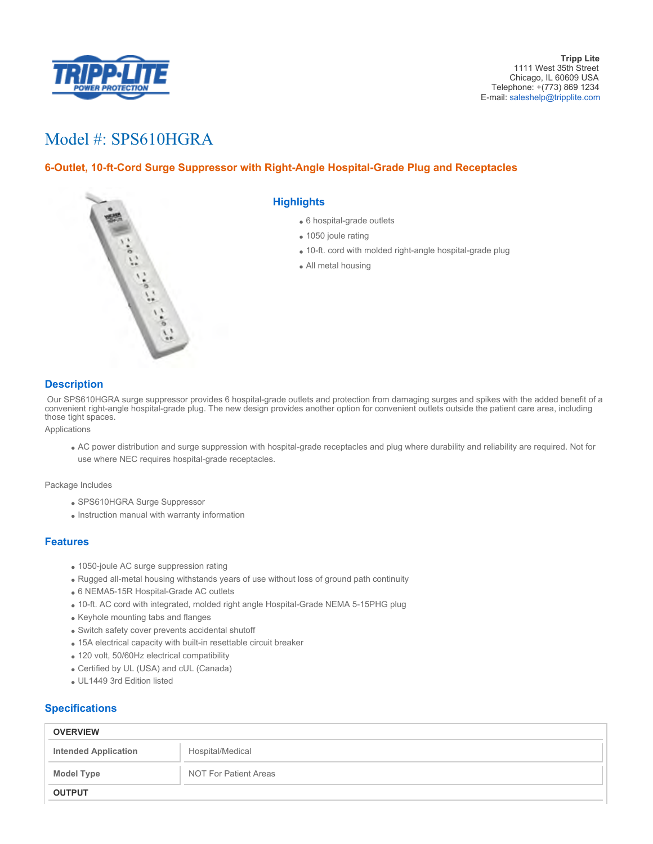

# Model #: SPS610HGRA

## **6-Outlet, 10-ft-Cord Surge Suppressor with Right-Angle Hospital-Grade Plug and Receptacles**



### **Highlights**

- 6 hospital-grade outlets
- 1050 joule rating
- 10-ft. cord with molded right-angle hospital-grade plug
- All metal housing

### **Description**

 Our SPS610HGRA surge suppressor provides 6 hospital-grade outlets and protection from damaging surges and spikes with the added benefit of a convenient right-angle hospital-grade plug. The new design provides another option for convenient outlets outside the patient care area, including those tight spaces.

Applications

AC power distribution and surge suppression with hospital-grade receptacles and plug where durability and reliability are required. Not for use where NEC requires hospital-grade receptacles.

Package Includes

- SPS610HGRA Surge Suppressor
- Instruction manual with warranty information

#### **Features**

- 1050-joule AC surge suppression rating
- Rugged all-metal housing withstands years of use without loss of ground path continuity
- 6 NEMA5-15R Hospital-Grade AC outlets
- 10-ft. AC cord with integrated, molded right angle Hospital-Grade NEMA 5-15PHG plug
- Keyhole mounting tabs and flanges
- Switch safety cover prevents accidental shutoff
- 15A electrical capacity with built-in resettable circuit breaker
- 120 volt, 50/60Hz electrical compatibility
- Certified by UL (USA) and cUL (Canada)
- UL1449 3rd Edition listed

#### **Specifications**

| <b>OVERVIEW</b>             |                       |
|-----------------------------|-----------------------|
| <b>Intended Application</b> | Hospital/Medical      |
| <b>Model Type</b>           | NOT For Patient Areas |
| <b>OUTPUT</b>               |                       |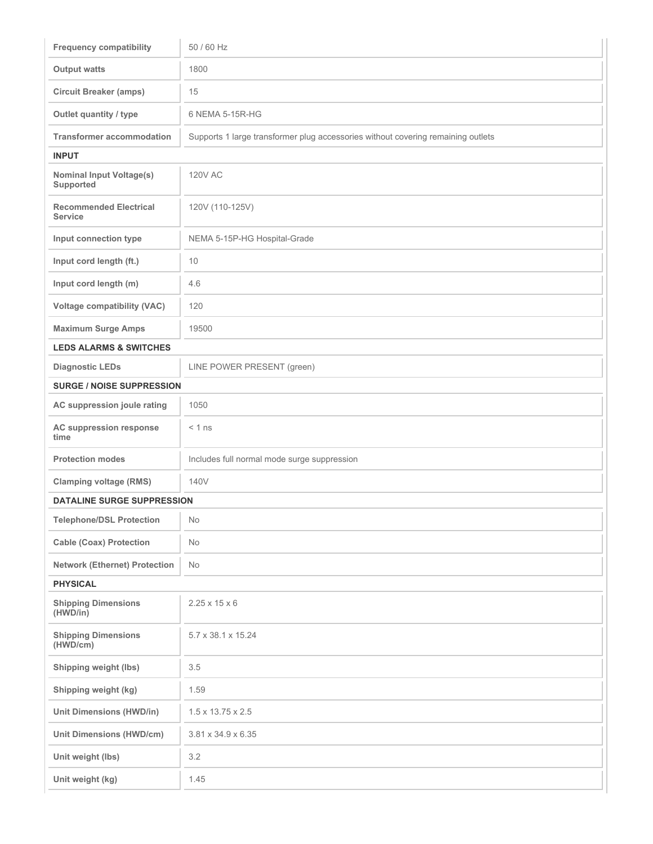| <b>Frequency compatibility</b>                  | 50 / 60 Hz                                                                       |  |
|-------------------------------------------------|----------------------------------------------------------------------------------|--|
| <b>Output watts</b>                             | 1800                                                                             |  |
| <b>Circuit Breaker (amps)</b>                   | 15                                                                               |  |
| Outlet quantity / type                          | 6 NEMA 5-15R-HG                                                                  |  |
| <b>Transformer accommodation</b>                | Supports 1 large transformer plug accessories without covering remaining outlets |  |
| <b>INPUT</b>                                    |                                                                                  |  |
| <b>Nominal Input Voltage(s)</b><br>Supported    | <b>120V AC</b>                                                                   |  |
| <b>Recommended Electrical</b><br><b>Service</b> | 120V (110-125V)                                                                  |  |
| Input connection type                           | NEMA 5-15P-HG Hospital-Grade                                                     |  |
| Input cord length (ft.)                         | 10                                                                               |  |
| Input cord length (m)                           | 4.6                                                                              |  |
| <b>Voltage compatibility (VAC)</b>              | 120                                                                              |  |
| <b>Maximum Surge Amps</b>                       | 19500                                                                            |  |
| <b>LEDS ALARMS &amp; SWITCHES</b>               |                                                                                  |  |
| <b>Diagnostic LEDs</b>                          | LINE POWER PRESENT (green)                                                       |  |
| <b>SURGE / NOISE SUPPRESSION</b>                |                                                                                  |  |
| AC suppression joule rating                     | 1050                                                                             |  |
| AC suppression response<br>time                 | $< 1$ ns                                                                         |  |
| <b>Protection modes</b>                         | Includes full normal mode surge suppression                                      |  |
| <b>Clamping voltage (RMS)</b>                   | 140V                                                                             |  |
| <b>DATALINE SURGE SUPPRESSION</b>               |                                                                                  |  |
| <b>Telephone/DSL Protection</b>                 | No                                                                               |  |
| <b>Cable (Coax) Protection</b>                  | No                                                                               |  |
| <b>Network (Ethernet) Protection</b>            | No                                                                               |  |
| <b>PHYSICAL</b>                                 |                                                                                  |  |
| <b>Shipping Dimensions</b><br>(HWD/in)          | $2.25 \times 15 \times 6$                                                        |  |
| <b>Shipping Dimensions</b><br>(HWD/cm)          | 5.7 x 38.1 x 15.24                                                               |  |
| Shipping weight (lbs)                           | 3.5                                                                              |  |
| Shipping weight (kg)                            | 1.59                                                                             |  |
| <b>Unit Dimensions (HWD/in)</b>                 | $1.5 \times 13.75 \times 2.5$                                                    |  |
| <b>Unit Dimensions (HWD/cm)</b>                 | 3.81 x 34.9 x 6.35                                                               |  |
| Unit weight (lbs)                               | 3.2                                                                              |  |
| Unit weight (kg)                                | 1.45                                                                             |  |